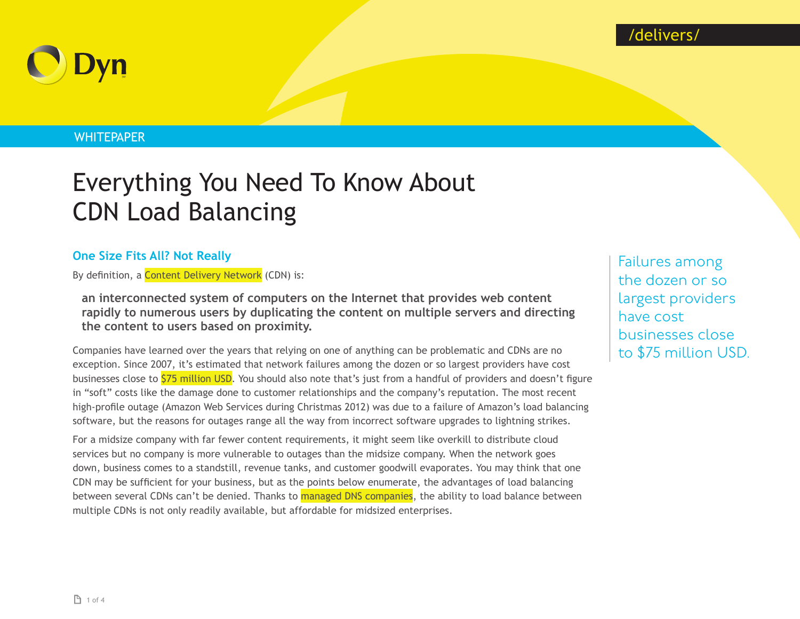

# **WHITEPAPER**

# Everything You Need To Know About CDN Load Balancing

# **One Size Fits All? Not Really**

By definition, a [Content Delivery Network](http://whatis.techtarget.com/definition/content-delivery-network-CDN) (CDN) is:

**an interconnected system of computers on the Internet that provides web content rapidly to numerous users by duplicating the content on multiple servers and directing the content to users based on proximity.**

Companies have learned over the years that relying on one of anything can be problematic and CDNs are no exception. Since 2007, it's estimated that network failures among the dozen or so largest providers have cost businesses close to 575 million USD. You should also note that's just from a handful of providers and doesn't figure in "soft" costs like the damage done to customer relationships and the company's reputation. The most recent high-profile outage (Amazon Web Services during Christmas 2012) was due to a failure of Amazon's load balancing software, but the reasons for outages range all the way from incorrect software upgrades to lightning strikes.

For a midsize company with far fewer content requirements, it might seem like overkill to distribute cloud services but no company is more vulnerable to outages than the midsize company. When the network goes down, business comes to a standstill, revenue tanks, and customer goodwill evaporates. You may think that one CDN may be sufficient for your business, but as the points below enumerate, the advantages of load balancing between several CDNs can't be denied. Thanks to [managed DNS companies](http://dyn.com), the ability to load balance between multiple CDNs is not only readily available, but affordable for midsized enterprises.

Failures among the dozen or so largest providers have cost businesses close to \$75 million USD.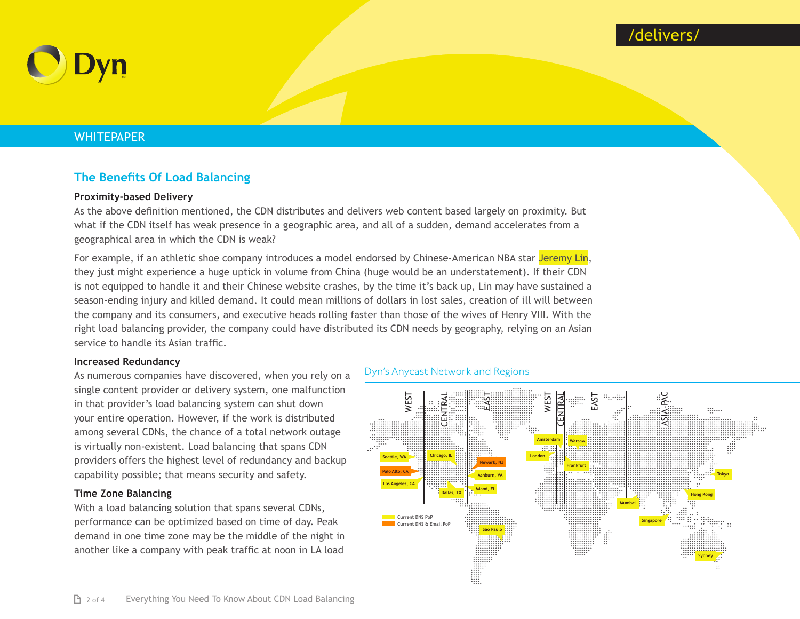# /delivers/



# **WHITEPAPER**

# **The Benefits Of Load Balancing**

### **Proximity-based Delivery**

As the above definition mentioned, the CDN distributes and delivers web content based largely on proximity. But what if the CDN itself has weak presence in a geographic area, and all of a sudden, demand accelerates from a geographical area in which the CDN is weak?

For example, if an athletic shoe company introduces a model endorsed by Chinese-American NBA star [Jeremy Lin](http://en.wikipedia.org/wiki/Jeremy_Lin), they just might experience a huge uptick in volume from China (huge would be an understatement). If their CDN is not equipped to handle it and their Chinese website crashes, by the time it's back up, Lin may have sustained a season-ending injury and killed demand. It could mean millions of dollars in lost sales, creation of ill will between the company and its consumers, and executive heads rolling faster than those of the wives of Henry VIII. With the right load balancing provider, the company could have distributed its CDN needs by geography, relying on an Asian service to handle its Asian traffic.

#### **Increased Redundancy**

As numerous companies have discovered, when you rely on a single content provider or delivery system, one malfunction in that provider's load balancing system can shut down your entire operation. However, if the work is distributed among several CDNs, the chance of a total network outage is virtually non-existent. Load balancing that spans CDN providers offers the highest level of redundancy and backup capability possible; that means security and safety.

#### **Time Zone Balancing**

With a load balancing solution that spans several CDNs, performance can be optimized based on time of day. Peak demand in one time zone may be the middle of the night in another like a company with peak traffic at noon in LA load

#### Dyn's Anycast Network and Regions

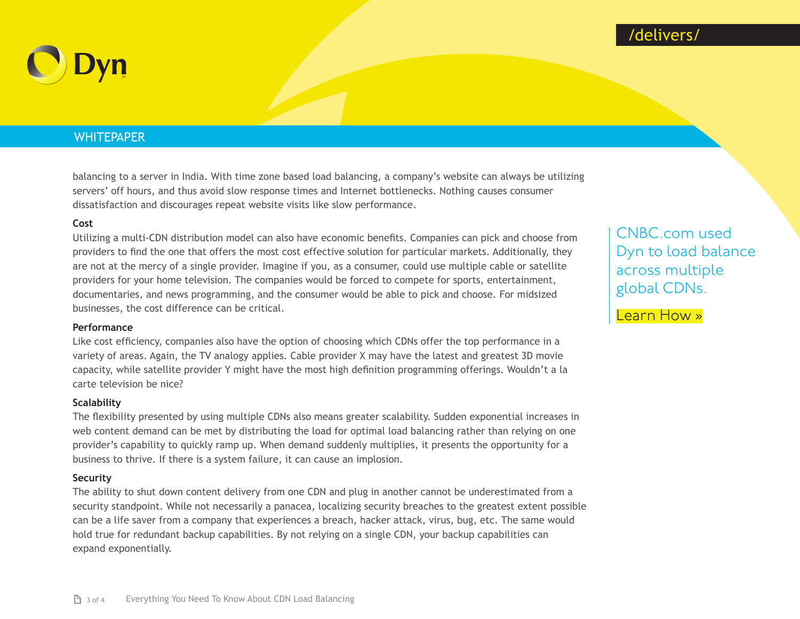



## **WHITEPAPER**

balancing to a server in India. With time zone based load balancing, a company's website can always be utilizing servers' off hours, and thus avoid slow response times and Internet bottlenecks. Nothing causes consumer dissatisfaction and discourages repeat website visits like slow performance.

#### **Cost**

Utilizing a multi-CDN distribution model can also have economic benefits. Companies can pick and choose from providers to find the one that offers the most cost effective solution for particular markets. Additionally, they are not at the mercy of a single provider. Imagine if you, as a consumer, could use multiple cable or satellite providers for your home television. The companies would be forced to compete for sports, entertainment, documentaries, and news programming, and the consumer would be able to pick and choose. For midsized businesses, the cost difference can be critical.

#### **Performance**

Like cost efficiency, companies also have the option of choosing which CDNs offer the top performance in a variety of areas. Again, the TV analogy applies. Cable provider X may have the latest and greatest 3D movie capacity, while satellite provider Y might have the most high definition programming offerings. Wouldn't a la carte television be nice?

#### **Scalability**

The flexibility presented by using multiple CDNs also means greater scalability. Sudden exponential increases in web content demand can be met by distributing the load for optimal load balancing rather than relying on one provider's capability to quickly ramp up. When demand suddenly multiplies, it presents the opportunity for a business to thrive. If there is a system failure, it can cause an implosion.

#### **Security**

The ability to shut down content delivery from one CDN and plug in another cannot be underestimated from a security standpoint. While not necessarily a panacea, localizing security breaches to the greatest extent possible can be a life saver from a company that experiences a breach, hacker attack, virus, bug, etc. The same would hold true for redundant backup capabilities. By not relying on a single CDN, your backup capabilities can expand exponentially.

[CNBC.com used](http://dyn.com/cnbc-dyn-dns-instance-of-success-uptime-case-study/)  [Dyn to load balance](http://dyn.com/cnbc-dyn-dns-instance-of-success-uptime-case-study/)  [across multiple](http://dyn.com/cnbc-dyn-dns-instance-of-success-uptime-case-study/)  [global CDNs](http://dyn.com/cnbc-dyn-dns-instance-of-success-uptime-case-study/).

[Learn How »](http://dyn.com/cnbc-dyn-dns-instance-of-success-uptime-case-study/)